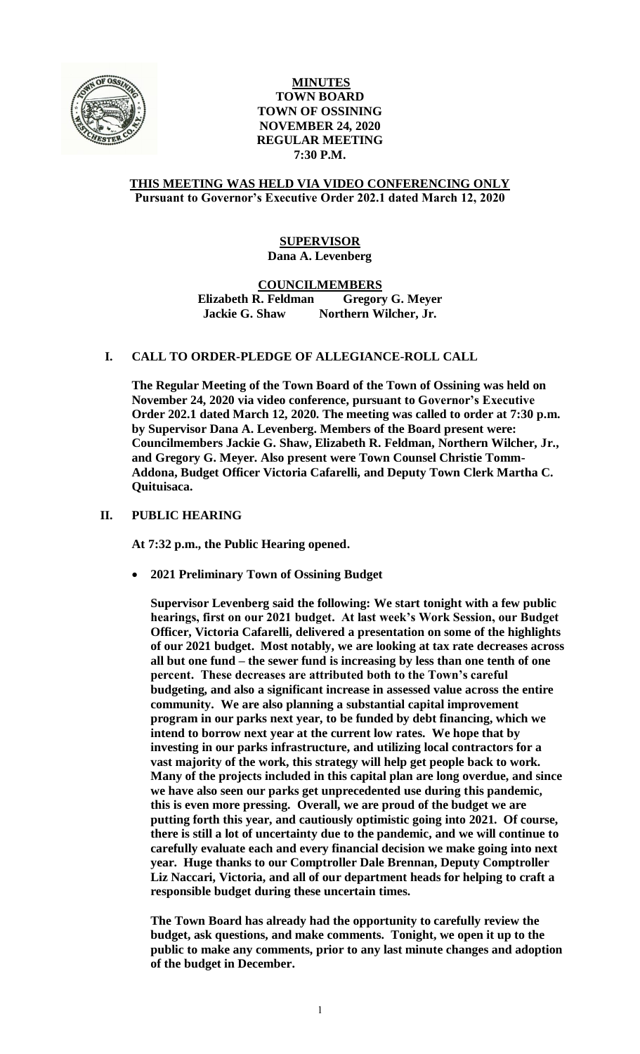

# **MINUTES TOWN BOARD TOWN OF OSSINING NOVEMBER 24, 2020 REGULAR MEETING 7:30 P.M.**

## **THIS MEETING WAS HELD VIA VIDEO CONFERENCING ONLY Pursuant to Governor's Executive Order 202.1 dated March 12, 2020**

# **SUPERVISOR Dana A. Levenberg**

**COUNCILMEMBERS**

**Elizabeth R. Feldman Gregory G. Meyer Jackie G. Shaw Northern Wilcher, Jr.**

## **I. CALL TO ORDER-PLEDGE OF ALLEGIANCE-ROLL CALL**

**The Regular Meeting of the Town Board of the Town of Ossining was held on November 24, 2020 via video conference, pursuant to Governor's Executive Order 202.1 dated March 12, 2020. The meeting was called to order at 7:30 p.m. by Supervisor Dana A. Levenberg. Members of the Board present were: Councilmembers Jackie G. Shaw, Elizabeth R. Feldman, Northern Wilcher, Jr., and Gregory G. Meyer. Also present were Town Counsel Christie Tomm-Addona, Budget Officer Victoria Cafarelli, and Deputy Town Clerk Martha C. Quituisaca.**

# **II. PUBLIC HEARING**

**At 7:32 p.m., the Public Hearing opened.**

**2021 Preliminary Town of Ossining Budget**

**Supervisor Levenberg said the following: We start tonight with a few public hearings, first on our 2021 budget. At last week's Work Session, our Budget Officer, Victoria Cafarelli, delivered a presentation on some of the highlights of our 2021 budget. Most notably, we are looking at tax rate decreases across all but one fund – the sewer fund is increasing by less than one tenth of one percent. These decreases are attributed both to the Town's careful budgeting, and also a significant increase in assessed value across the entire community. We are also planning a substantial capital improvement program in our parks next year, to be funded by debt financing, which we intend to borrow next year at the current low rates. We hope that by investing in our parks infrastructure, and utilizing local contractors for a vast majority of the work, this strategy will help get people back to work. Many of the projects included in this capital plan are long overdue, and since we have also seen our parks get unprecedented use during this pandemic, this is even more pressing. Overall, we are proud of the budget we are putting forth this year, and cautiously optimistic going into 2021. Of course, there is still a lot of uncertainty due to the pandemic, and we will continue to carefully evaluate each and every financial decision we make going into next year. Huge thanks to our Comptroller Dale Brennan, Deputy Comptroller Liz Naccari, Victoria, and all of our department heads for helping to craft a responsible budget during these uncertain times.** 

**The Town Board has already had the opportunity to carefully review the budget, ask questions, and make comments. Tonight, we open it up to the public to make any comments, prior to any last minute changes and adoption of the budget in December.**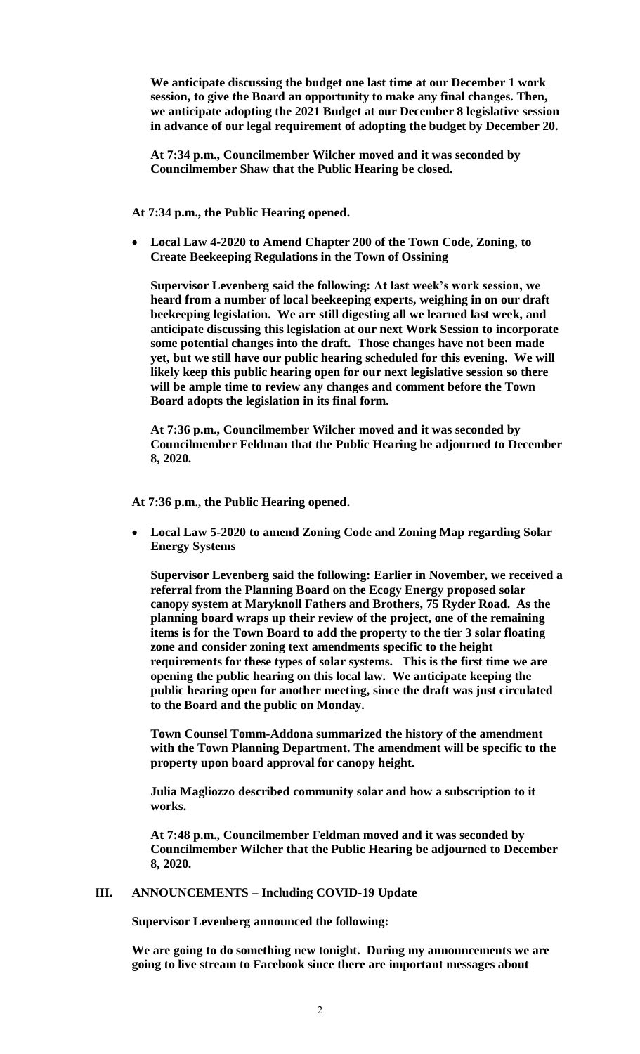**We anticipate discussing the budget one last time at our December 1 work session, to give the Board an opportunity to make any final changes. Then, we anticipate adopting the 2021 Budget at our December 8 legislative session in advance of our legal requirement of adopting the budget by December 20.**

**At 7:34 p.m., Councilmember Wilcher moved and it was seconded by Councilmember Shaw that the Public Hearing be closed.**

**At 7:34 p.m., the Public Hearing opened.**

 **Local Law 4-2020 to Amend Chapter 200 of the Town Code, Zoning, to Create Beekeeping Regulations in the Town of Ossining**

**Supervisor Levenberg said the following: At last week's work session, we heard from a number of local beekeeping experts, weighing in on our draft beekeeping legislation. We are still digesting all we learned last week, and anticipate discussing this legislation at our next Work Session to incorporate some potential changes into the draft. Those changes have not been made yet, but we still have our public hearing scheduled for this evening. We will likely keep this public hearing open for our next legislative session so there will be ample time to review any changes and comment before the Town Board adopts the legislation in its final form.** 

**At 7:36 p.m., Councilmember Wilcher moved and it was seconded by Councilmember Feldman that the Public Hearing be adjourned to December 8, 2020.** 

**At 7:36 p.m., the Public Hearing opened.**

 **Local Law 5-2020 to amend Zoning Code and Zoning Map regarding Solar Energy Systems**

**Supervisor Levenberg said the following: Earlier in November, we received a referral from the Planning Board on the Ecogy Energy proposed solar canopy system at Maryknoll Fathers and Brothers, 75 Ryder Road. As the planning board wraps up their review of the project, one of the remaining items is for the Town Board to add the property to the tier 3 solar floating zone and consider zoning text amendments specific to the height requirements for these types of solar systems. This is the first time we are opening the public hearing on this local law. We anticipate keeping the public hearing open for another meeting, since the draft was just circulated to the Board and the public on Monday.** 

**Town Counsel Tomm-Addona summarized the history of the amendment with the Town Planning Department. The amendment will be specific to the property upon board approval for canopy height.** 

**Julia Magliozzo described community solar and how a subscription to it works.** 

**At 7:48 p.m., Councilmember Feldman moved and it was seconded by Councilmember Wilcher that the Public Hearing be adjourned to December 8, 2020.** 

#### **III. ANNOUNCEMENTS – Including COVID-19 Update**

**Supervisor Levenberg announced the following:**

**We are going to do something new tonight. During my announcements we are going to live stream to Facebook since there are important messages about**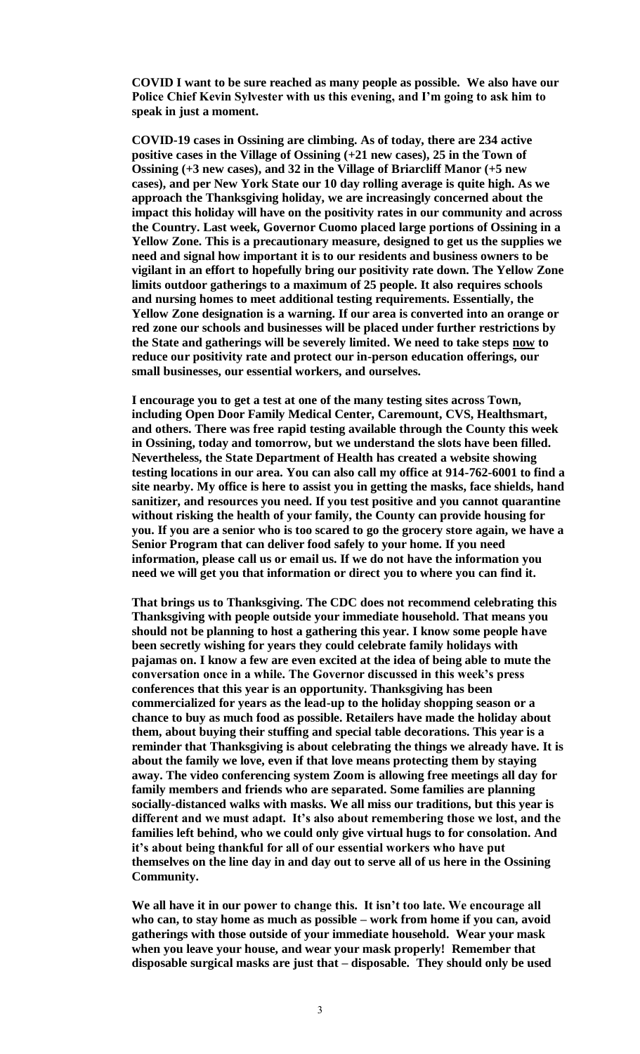**COVID I want to be sure reached as many people as possible. We also have our Police Chief Kevin Sylvester with us this evening, and I'm going to ask him to speak in just a moment.** 

**COVID-19 cases in Ossining are climbing. As of today, there are 234 active positive cases in the Village of Ossining (+21 new cases), 25 in the Town of Ossining (+3 new cases), and 32 in the Village of Briarcliff Manor (+5 new cases), and per New York State our 10 day rolling average is quite high. As we approach the Thanksgiving holiday, we are increasingly concerned about the impact this holiday will have on the positivity rates in our community and across the Country. Last week, Governor Cuomo placed large portions of Ossining in a Yellow Zone. This is a precautionary measure, designed to get us the supplies we need and signal how important it is to our residents and business owners to be vigilant in an effort to hopefully bring our positivity rate down. The Yellow Zone limits outdoor gatherings to a maximum of 25 people. It also requires schools and nursing homes to meet additional testing requirements. Essentially, the Yellow Zone designation is a warning. If our area is converted into an orange or red zone our schools and businesses will be placed under further restrictions by the State and gatherings will be severely limited. We need to take steps now to reduce our positivity rate and protect our in-person education offerings, our small businesses, our essential workers, and ourselves.** 

**I encourage you to get a test at one of the many testing sites across Town, including Open Door Family Medical Center, Caremount, CVS, Healthsmart, and others. There was free rapid testing available through the County this week in Ossining, today and tomorrow, but we understand the slots have been filled. Nevertheless, the State Department of Health has created a website showing testing locations in our area. You can also call my office at 914-762-6001 to find a site nearby. My office is here to assist you in getting the masks, face shields, hand sanitizer, and resources you need. If you test positive and you cannot quarantine without risking the health of your family, the County can provide housing for you. If you are a senior who is too scared to go the grocery store again, we have a Senior Program that can deliver food safely to your home. If you need information, please call us or email us. If we do not have the information you need we will get you that information or direct you to where you can find it.** 

**That brings us to Thanksgiving. The CDC does not recommend celebrating this Thanksgiving with people outside your immediate household. That means you should not be planning to host a gathering this year. I know some people have been secretly wishing for years they could celebrate family holidays with pajamas on. I know a few are even excited at the idea of being able to mute the conversation once in a while. The Governor discussed in this week's press conferences that this year is an opportunity. Thanksgiving has been commercialized for years as the lead-up to the holiday shopping season or a chance to buy as much food as possible. Retailers have made the holiday about them, about buying their stuffing and special table decorations. This year is a reminder that Thanksgiving is about celebrating the things we already have. It is about the family we love, even if that love means protecting them by staying away. The video conferencing system Zoom is allowing free meetings all day for family members and friends who are separated. Some families are planning socially-distanced walks with masks. We all miss our traditions, but this year is different and we must adapt. It's also about remembering those we lost, and the families left behind, who we could only give virtual hugs to for consolation. And it's about being thankful for all of our essential workers who have put themselves on the line day in and day out to serve all of us here in the Ossining Community.**

**We all have it in our power to change this. It isn't too late. We encourage all who can, to stay home as much as possible – work from home if you can, avoid gatherings with those outside of your immediate household. Wear your mask when you leave your house, and wear your mask properly! Remember that disposable surgical masks are just that – disposable. They should only be used**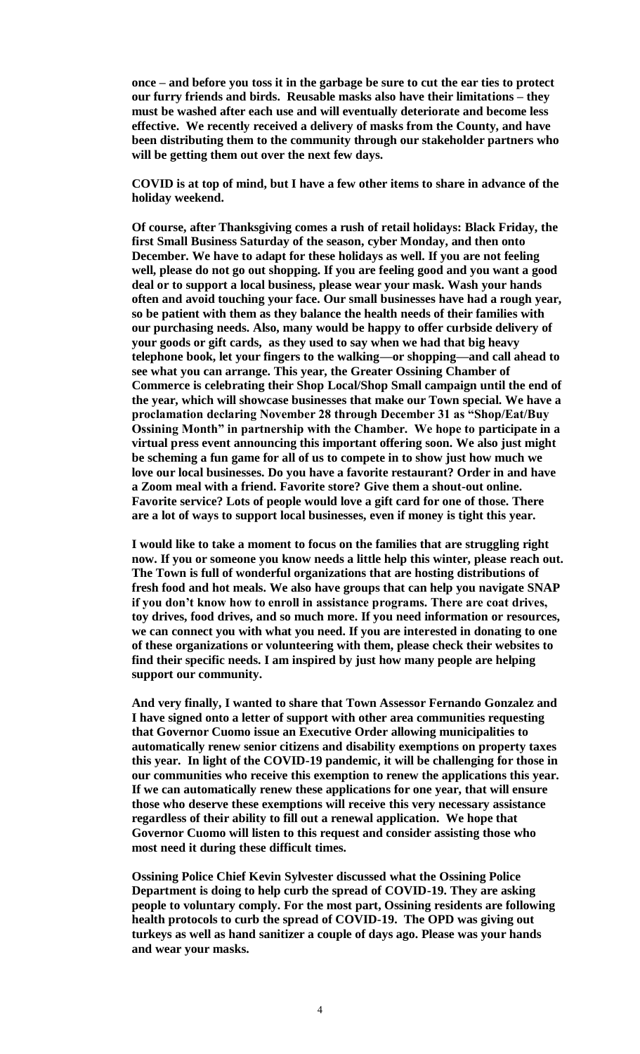**once – and before you toss it in the garbage be sure to cut the ear ties to protect our furry friends and birds. Reusable masks also have their limitations – they must be washed after each use and will eventually deteriorate and become less effective. We recently received a delivery of masks from the County, and have been distributing them to the community through our stakeholder partners who will be getting them out over the next few days.** 

**COVID is at top of mind, but I have a few other items to share in advance of the holiday weekend.** 

**Of course, after Thanksgiving comes a rush of retail holidays: Black Friday, the first Small Business Saturday of the season, cyber Monday, and then onto December. We have to adapt for these holidays as well. If you are not feeling well, please do not go out shopping. If you are feeling good and you want a good deal or to support a local business, please wear your mask. Wash your hands often and avoid touching your face. Our small businesses have had a rough year, so be patient with them as they balance the health needs of their families with our purchasing needs. Also, many would be happy to offer curbside delivery of your goods or gift cards, as they used to say when we had that big heavy telephone book, let your fingers to the walking—or shopping—and call ahead to see what you can arrange. This year, the Greater Ossining Chamber of Commerce is celebrating their Shop Local/Shop Small campaign until the end of the year, which will showcase businesses that make our Town special. We have a proclamation declaring November 28 through December 31 as "Shop/Eat/Buy Ossining Month" in partnership with the Chamber. We hope to participate in a virtual press event announcing this important offering soon. We also just might be scheming a fun game for all of us to compete in to show just how much we love our local businesses. Do you have a favorite restaurant? Order in and have a Zoom meal with a friend. Favorite store? Give them a shout-out online. Favorite service? Lots of people would love a gift card for one of those. There are a lot of ways to support local businesses, even if money is tight this year.** 

**I would like to take a moment to focus on the families that are struggling right now. If you or someone you know needs a little help this winter, please reach out. The Town is full of wonderful organizations that are hosting distributions of fresh food and hot meals. We also have groups that can help you navigate SNAP if you don't know how to enroll in assistance programs. There are coat drives, toy drives, food drives, and so much more. If you need information or resources, we can connect you with what you need. If you are interested in donating to one of these organizations or volunteering with them, please check their websites to find their specific needs. I am inspired by just how many people are helping support our community.** 

**And very finally, I wanted to share that Town Assessor Fernando Gonzalez and I have signed onto a letter of support with other area communities requesting that Governor Cuomo issue an Executive Order allowing municipalities to automatically renew senior citizens and disability exemptions on property taxes this year. In light of the COVID-19 pandemic, it will be challenging for those in our communities who receive this exemption to renew the applications this year. If we can automatically renew these applications for one year, that will ensure those who deserve these exemptions will receive this very necessary assistance regardless of their ability to fill out a renewal application. We hope that Governor Cuomo will listen to this request and consider assisting those who most need it during these difficult times.** 

**Ossining Police Chief Kevin Sylvester discussed what the Ossining Police Department is doing to help curb the spread of COVID-19. They are asking people to voluntary comply. For the most part, Ossining residents are following health protocols to curb the spread of COVID-19. The OPD was giving out turkeys as well as hand sanitizer a couple of days ago. Please was your hands and wear your masks.**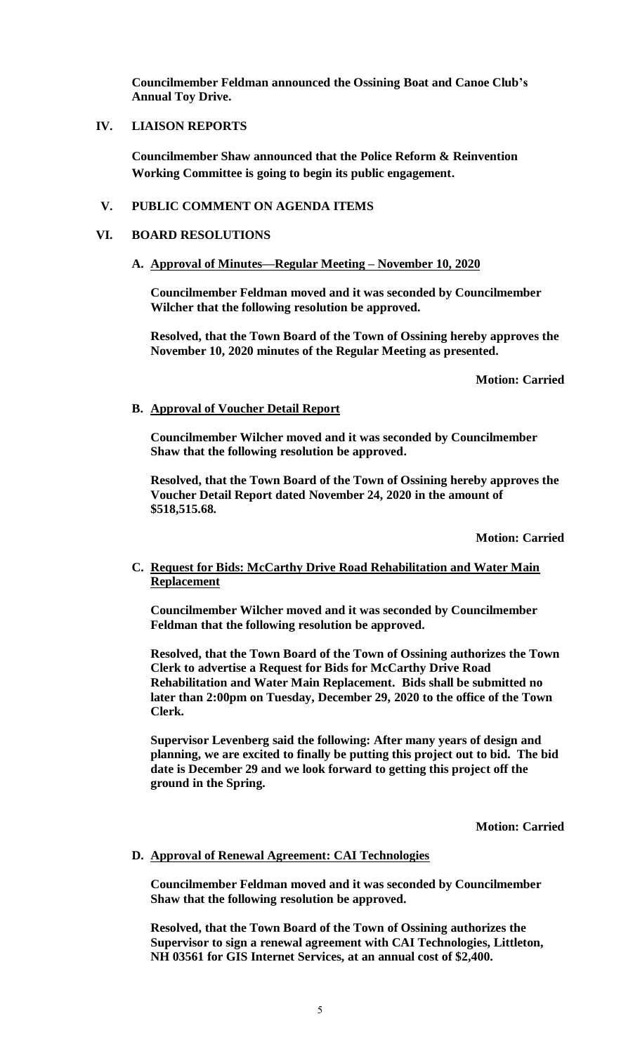**Councilmember Feldman announced the Ossining Boat and Canoe Club's Annual Toy Drive.** 

# **IV. LIAISON REPORTS**

**Councilmember Shaw announced that the Police Reform & Reinvention Working Committee is going to begin its public engagement.** 

# **V. PUBLIC COMMENT ON AGENDA ITEMS**

## **VI. BOARD RESOLUTIONS**

## **A. Approval of Minutes—Regular Meeting – November 10, 2020**

**Councilmember Feldman moved and it was seconded by Councilmember Wilcher that the following resolution be approved.**

**Resolved, that the Town Board of the Town of Ossining hereby approves the November 10, 2020 minutes of the Regular Meeting as presented.**

**Motion: Carried**

# **B. Approval of Voucher Detail Report**

**Councilmember Wilcher moved and it was seconded by Councilmember Shaw that the following resolution be approved.**

**Resolved, that the Town Board of the Town of Ossining hereby approves the Voucher Detail Report dated November 24, 2020 in the amount of \$518,515.68.**

**Motion: Carried**

# **C. Request for Bids: McCarthy Drive Road Rehabilitation and Water Main Replacement**

**Councilmember Wilcher moved and it was seconded by Councilmember Feldman that the following resolution be approved.**

**Resolved, that the Town Board of the Town of Ossining authorizes the Town Clerk to advertise a Request for Bids for McCarthy Drive Road Rehabilitation and Water Main Replacement. Bids shall be submitted no later than 2:00pm on Tuesday, December 29, 2020 to the office of the Town Clerk.**

**Supervisor Levenberg said the following: After many years of design and planning, we are excited to finally be putting this project out to bid. The bid date is December 29 and we look forward to getting this project off the ground in the Spring.** 

**Motion: Carried**

## **D. Approval of Renewal Agreement: CAI Technologies**

**Councilmember Feldman moved and it was seconded by Councilmember Shaw that the following resolution be approved.**

**Resolved, that the Town Board of the Town of Ossining authorizes the Supervisor to sign a renewal agreement with CAI Technologies, Littleton, NH 03561 for GIS Internet Services, at an annual cost of \$2,400.**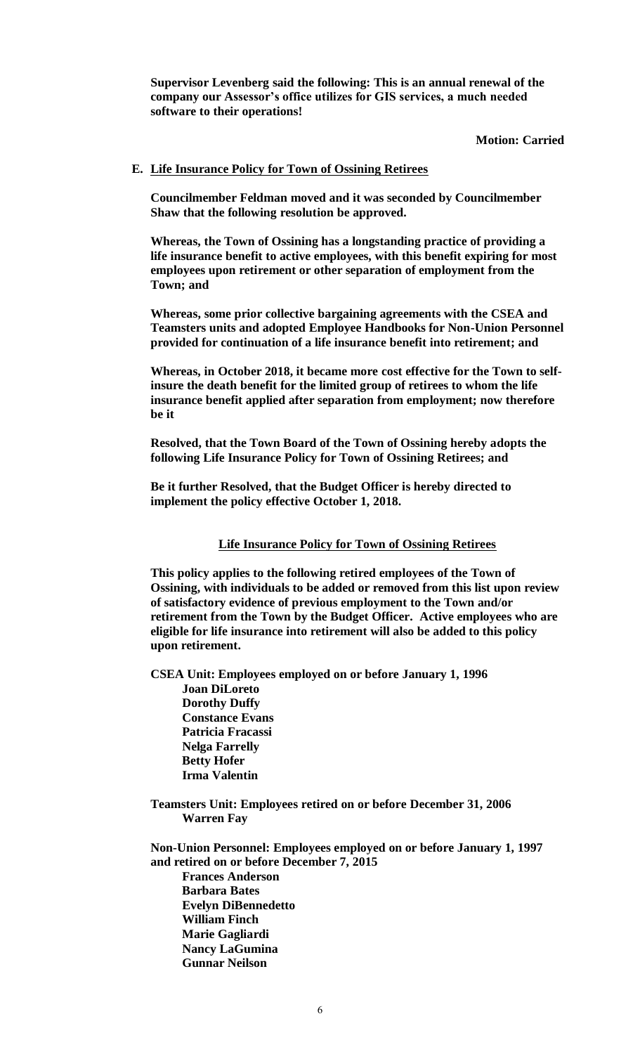**Supervisor Levenberg said the following: This is an annual renewal of the company our Assessor's office utilizes for GIS services, a much needed software to their operations!** 

**Motion: Carried**

## **E. Life Insurance Policy for Town of Ossining Retirees**

**Councilmember Feldman moved and it was seconded by Councilmember Shaw that the following resolution be approved.**

**Whereas, the Town of Ossining has a longstanding practice of providing a life insurance benefit to active employees, with this benefit expiring for most employees upon retirement or other separation of employment from the Town; and**

**Whereas, some prior collective bargaining agreements with the CSEA and Teamsters units and adopted Employee Handbooks for Non-Union Personnel provided for continuation of a life insurance benefit into retirement; and** 

**Whereas, in October 2018, it became more cost effective for the Town to selfinsure the death benefit for the limited group of retirees to whom the life insurance benefit applied after separation from employment; now therefore be it** 

**Resolved, that the Town Board of the Town of Ossining hereby adopts the following Life Insurance Policy for Town of Ossining Retirees; and**

**Be it further Resolved, that the Budget Officer is hereby directed to implement the policy effective October 1, 2018.** 

#### **Life Insurance Policy for Town of Ossining Retirees**

**This policy applies to the following retired employees of the Town of Ossining, with individuals to be added or removed from this list upon review of satisfactory evidence of previous employment to the Town and/or retirement from the Town by the Budget Officer. Active employees who are eligible for life insurance into retirement will also be added to this policy upon retirement.** 

**CSEA Unit: Employees employed on or before January 1, 1996**

 **Joan DiLoreto Dorothy Duffy Constance Evans Patricia Fracassi Nelga Farrelly Betty Hofer Irma Valentin**

**Teamsters Unit: Employees retired on or before December 31, 2006 Warren Fay**

**Non-Union Personnel: Employees employed on or before January 1, 1997 and retired on or before December 7, 2015 Frances Anderson Barbara Bates Evelyn DiBennedetto William Finch Marie Gagliardi Nancy LaGumina Gunnar Neilson**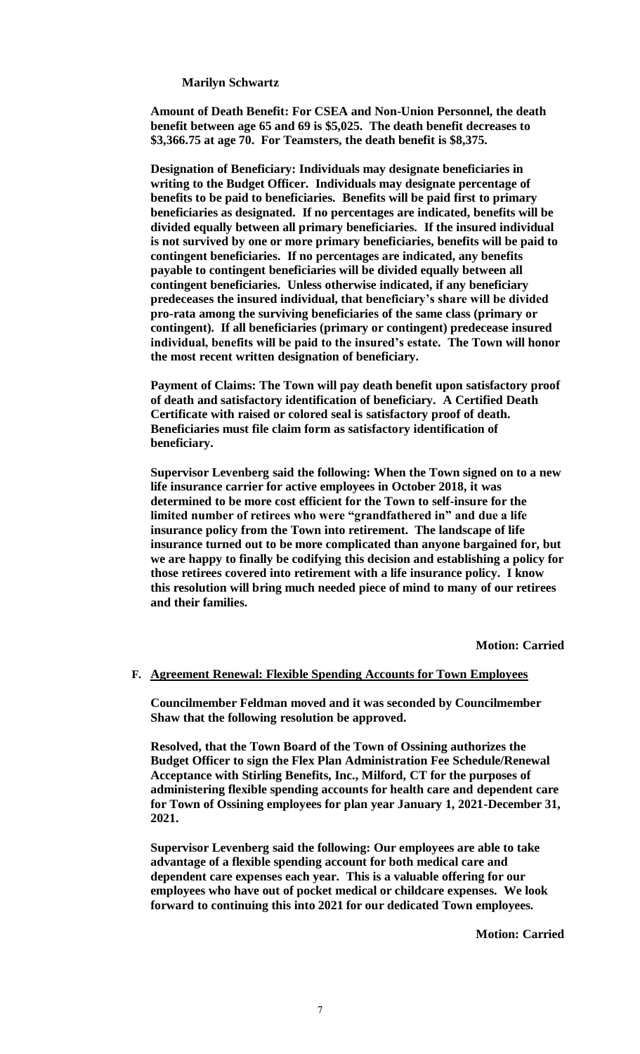#### **Marilyn Schwartz**

**Amount of Death Benefit: For CSEA and Non-Union Personnel, the death benefit between age 65 and 69 is \$5,025. The death benefit decreases to \$3,366.75 at age 70. For Teamsters, the death benefit is \$8,375.** 

**Designation of Beneficiary: Individuals may designate beneficiaries in writing to the Budget Officer. Individuals may designate percentage of benefits to be paid to beneficiaries. Benefits will be paid first to primary beneficiaries as designated. If no percentages are indicated, benefits will be divided equally between all primary beneficiaries. If the insured individual is not survived by one or more primary beneficiaries, benefits will be paid to contingent beneficiaries. If no percentages are indicated, any benefits payable to contingent beneficiaries will be divided equally between all contingent beneficiaries. Unless otherwise indicated, if any beneficiary predeceases the insured individual, that beneficiary's share will be divided pro-rata among the surviving beneficiaries of the same class (primary or contingent). If all beneficiaries (primary or contingent) predecease insured individual, benefits will be paid to the insured's estate. The Town will honor the most recent written designation of beneficiary.** 

**Payment of Claims: The Town will pay death benefit upon satisfactory proof of death and satisfactory identification of beneficiary. A Certified Death Certificate with raised or colored seal is satisfactory proof of death. Beneficiaries must file claim form as satisfactory identification of beneficiary.** 

**Supervisor Levenberg said the following: When the Town signed on to a new life insurance carrier for active employees in October 2018, it was determined to be more cost efficient for the Town to self-insure for the limited number of retirees who were "grandfathered in" and due a life insurance policy from the Town into retirement. The landscape of life insurance turned out to be more complicated than anyone bargained for, but we are happy to finally be codifying this decision and establishing a policy for those retirees covered into retirement with a life insurance policy. I know this resolution will bring much needed piece of mind to many of our retirees and their families.** 

**Motion: Carried**

#### **F. Agreement Renewal: Flexible Spending Accounts for Town Employees**

**Councilmember Feldman moved and it was seconded by Councilmember Shaw that the following resolution be approved.**

**Resolved, that the Town Board of the Town of Ossining authorizes the Budget Officer to sign the Flex Plan Administration Fee Schedule/Renewal Acceptance with Stirling Benefits, Inc., Milford, CT for the purposes of administering flexible spending accounts for health care and dependent care for Town of Ossining employees for plan year January 1, 2021-December 31, 2021.**

**Supervisor Levenberg said the following: Our employees are able to take advantage of a flexible spending account for both medical care and dependent care expenses each year. This is a valuable offering for our employees who have out of pocket medical or childcare expenses. We look forward to continuing this into 2021 for our dedicated Town employees.** 

**Motion: Carried**